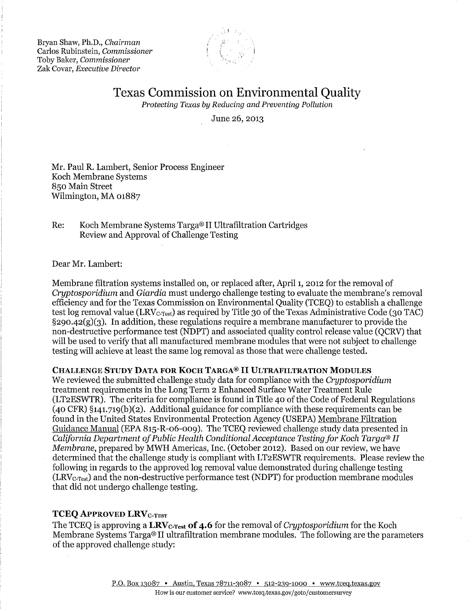Bryan Shaw, Ph.D., *Chairman*  Carlos Rubinstein, *Commissioner*  Toby Baker, *Commissioner*  Zak Covar, *Executive Director* 



# Texas Commission on Environmental Quality

*Protecting Texas by Reducing and Preventing Pollution* 

June 26, 2013

Mr. Paul R. Lambert, Senior Process Engineer Koch Membrane Systems 850 Main Street Wilmington, MA 01887

Re: Koch Membrane Systems Targa® II Ultrafiltration Cartridges Review and Approval of Challenge Testing

Dear Mr. Lambert:

Membrane filtration systems installed on, or replaced after, April 1, 2012 for the removal of *Cryptosporidium* and *Giardia* must undergo challenge testing to evaluate the membrane's removal efficiency and for the Texas Commission on Environmental Quality (TCEQ) to establish a challenge test log removal value (LRV $_{\text{C-Test}}$ ) as required by Title 30 of the Texas Administrative Code (30 TAC) §290.42(g)(3). In addition, these regulations require a membrane manufacturer to provide the non-destructive performance test (NDPT) and associated quality control release value (QCRV) that will be used to verify that all manufactured membrane modules that were not subject to challenge testing will achieve at least the same log removal as those that were challenge tested.

#### **CHALLENGE STUDY DATA FOR KOCH TARGA®** II **ULTRAFILTRATION MODULES**

We reviewed the submitted challenge study data for compliance with the *Cryptosporidium*  treatment requirements in the Long Term 2 Enhanced Surface Water Treatment Rule (LT2ESWTR). The criteria for compliance is found in Title 40 of the Code of Federal Regulations  $(40 \text{ CFR})$  §141.719(b)(2). Additional guidance for compliance with these requirements can be found in the United States Environmental Protection Agency (USEPA) Membrane Filtration Guidance Manual (EPA 815-R-06-009). The TCEQ reviewed challenge study data presented in *California Department of Public Health Conditional Acceptance Testing for Koch Targa® II Membrane,* prepared by MWH Americas, Inc. (October 2012). Based on our review, we have determined that the challenge study is compliant with LT2ESWTR requirements. Please review the following in regards to the approved log removal value demonstrated during challenge testing (LRVc-Test) and the non-destructive performance test (NDPT) for production membrane modules that did not undergo challenge testing.

## **TCEQ APPROVED LRV**C-TEST

The TCEQ is approving a **LRV**c-Test **of 4.6** for the removal of *Cryptosporidium* for the Koch Membrane Systems Targa® II ultrafiltration membrane modules. The following are the parameters of the approved challenge study: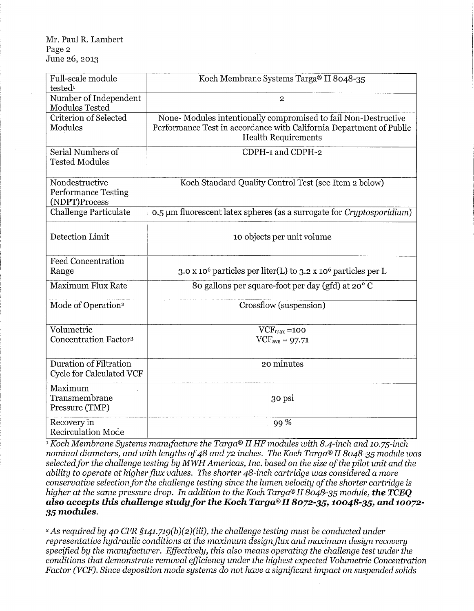#### Mr. Paul R. Lambert Page 2 June 26, 2013

| Full-scale module<br>tested <sup>1</sup>                      | Koch Membrane Systems Targa® II 8048-35                                                                                                                             |
|---------------------------------------------------------------|---------------------------------------------------------------------------------------------------------------------------------------------------------------------|
| Number of Independent<br>Modules Tested                       | $\overline{2}$                                                                                                                                                      |
| Criterion of Selected<br>Modules                              | None-Modules intentionally compromised to fail Non-Destructive<br>Performance Test in accordance with California Department of Public<br><b>Health Requirements</b> |
| Serial Numbers of<br><b>Tested Modules</b>                    | CDPH-1 and CDPH-2                                                                                                                                                   |
| Nondestructive<br><b>Performance Testing</b><br>(NDPT)Process | Koch Standard Quality Control Test (see Item 2 below)                                                                                                               |
| <b>Challenge Particulate</b>                                  | 0.5 µm fluorescent latex spheres (as a surrogate for Cryptosporidium)                                                                                               |
| Detection Limit                                               | 10 objects per unit volume                                                                                                                                          |
| <b>Feed Concentration</b><br>Range                            | 3.0 x 10 <sup>6</sup> particles per liter(L) to 3.2 x 10 <sup>6</sup> particles per L                                                                               |
| Maximum Flux Rate                                             | 80 gallons per square-foot per day (gfd) at 20°C                                                                                                                    |
| Mode of Operation <sup>2</sup>                                | Crossflow (suspension)                                                                                                                                              |
| Volumetric<br><b>Concentration Factors</b>                    | $VCF_{\text{max}} = 100$<br>$VCF_{avg} = 97.71$                                                                                                                     |
| <b>Duration of Filtration</b><br>Cycle for Calculated VCF     | 20 minutes                                                                                                                                                          |
| Maximum<br>Transmembrane<br>Pressure (TMP)                    | 30 psi                                                                                                                                                              |
| Recovery in<br><b>Recirculation Mode</b>                      | 99%                                                                                                                                                                 |

<sup>1</sup>*Koch Membrane Systems manufacture the Targa® II HF modules with 8.4-inch and 10.75-inch nominal diameters, and with lengths of48 and 72 inches. The Koch Targa® II 8048-35 module was*  selected for the challenge testing by MWH Americas, Inc. based on the size of the pilot unit and the *ability to operate at higherflux values. The shorter 48-inch cartridge was considered a more conservative selection for the challenge testing since the lumen velocity ofthe shorter cartridge is higher at the same pressure drop. In addition to the Koch Targa® II 8048-35 module, the TCEQ also accepts this challenge studyfor the Koch Targa® II* **8072-35, 10048-35,** *and* **10072- 35** *modules.* 

<sup>2</sup>*As required by 40 CFR §141.719(b)(2)(iii), the challenge testing must be conducted under representative hydraulic conditions at the maximum designflux and maximum design recovery specified by the manufacturer. Effectively, this also means operating the challenge test under the conditions that demonstrate removal efficiency under the highest expected Volumetric Concentration Factor (VCF). Since deposition mode systems do not have a significant impact on suspended solids*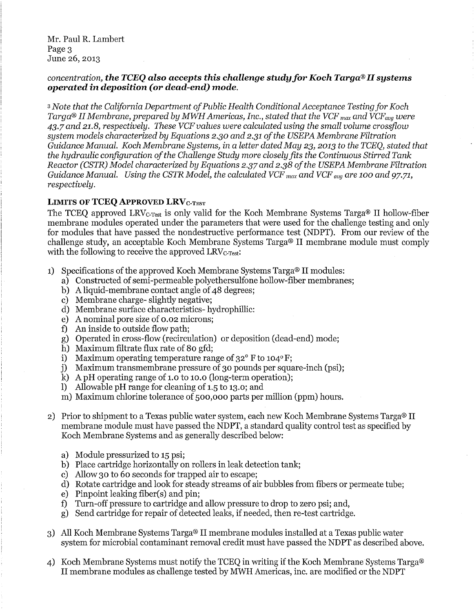Mr. Paul R. Lambert Page 3 June 26, 2013

## *concentration, the TCEQ also accepts this challenge studyfor Koch Targa® II systems operated* **in** *deposition (or dead-end) mode.*

<sup>3</sup>*Note that the California Department ofPublic Health Conditional Acceptance Testing for Koch Targa® II Membrane, prepared by MWH Americas, Inc., stated that the VCF max and VCFavg were 43.7 and 21.8, respectively. These VCF values were calculated using the small volume crossfiow system models characterized by Equations 2.30 and 2.31 ofthe USEPA Membrane Filtration Guidance Manual. Koch Membrane Systems, in a letter dated May 23, 2013 to the TCEQ, stated that the hydraulic configuration ofthe Challenge Study more closely fits the Continuous Stirred Tank Reactor (CSTR) Model characterized by Equations 2.37 and 2.38 ofthe USEPA Membrane Filtration Guidance Manual. Using the CSTR Model, the calculated VCF max and VCF avg are 100 and 97.71, respectively.* 

## **LIMITS OF TCEQ APPROVED LRV**C-TEST

The TCEQ approved LRV<sub>C-Test</sub> is only valid for the Koch Membrane Systems Targa<sup>®</sup> II hollow-fiber membrane modules operated under the parameters that were used for the challenge testing and only for modules that have passed the nondestructive performance test (NDPT). From our review of the challenge study, an acceptable Koch Membrane Systems Targa® II membrane module must comply with the following to receive the approved  $LRV_{C-Test}$ :

- 1) Specifications of the approved Koch Membrane Systems Targa® II modules:
	- a) Constructed of semi-permeable polyethersulfone hollow-fiber membranes;
	- b) A liquid-membrane contact angle of 48 degrees;
	- c) Membrane charge- slightly negative;
	- d) Membrane surface characteristics- hydrophillic:
	- e) A nominal pore size of 0.02 microns;
	- f) An inside to outside flow path;
	- g) Operated in cross-flow (recirculation) or deposition (dead-end) mode;
	- h) Maximum filtrate flux rate of 80 gfd;
	- i) Maximum operating temperature range of  $32^{\circ}$  F to  $104^{\circ}$  F;
	- j) Maximum transmembrane pressure of 30 pounds per square-inch (psi);
	- k) A pH operating range of 1.0 to 10.0 (long-term operation);
	- 1) Allowable pH range for cleaning of 1.5 to 13.0; and
	- m) Maximum chlorine tolerance of 500,000 parts per million (ppm) hours.
- 2) Prior to shipment to a Texas public water system, each new Koch Membrane Systems Targa® II membrane module must have passed the NDPT, a standard quality control test as specified by Koch Membrane Systems and as generally described below:
	- a) Module pressurized to 15 psi;
	- b) Place cartridge horizontally on rollers in leak detection tank;
	- c) Allow 30 to 60 seconds for trapped air to escape;
	- d) Rotate cartridge and look for steady streams of air bubbles from fibers or permeate tube;
	- e) Pinpoint leaking fiber(s) and pin;
	- f) Turn-off pressure to cartridge and allow pressure to drop to zero psi; and,
	- g) Send cartridge for repair of detected leaks, if needed, then re-test cartridge.
- 3) All Koch Membrane Systems Targa® II membrane modules installed at a Texas public water system for microbial contaminant removal credit must have passed the NDPT as described above.
- 4) Koch Membrane Systems must notify the TCEQ in writing if the Koch Membrane Systems Targa® II membrane modules as challenge tested by MWH Americas, inc. are modified or the NDPT